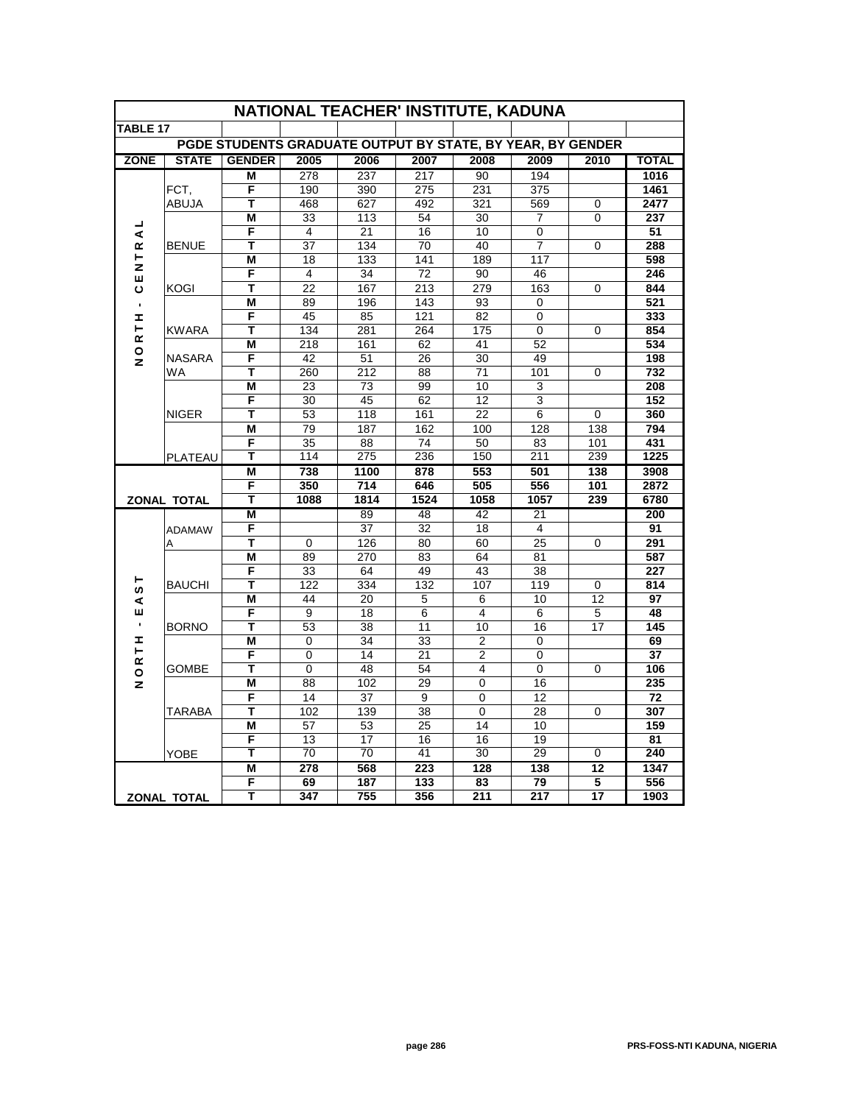| NATIONAL TEACHER' INSTITUTE, KADUNA                        |                    |               |                  |                 |                  |                 |                  |                 |              |
|------------------------------------------------------------|--------------------|---------------|------------------|-----------------|------------------|-----------------|------------------|-----------------|--------------|
| TABLE 17                                                   |                    |               |                  |                 |                  |                 |                  |                 |              |
| PGDE STUDENTS GRADUATE OUTPUT BY STATE, BY YEAR, BY GENDER |                    |               |                  |                 |                  |                 |                  |                 |              |
| <b>ZONE</b>                                                | <b>STATE</b>       | <b>GENDER</b> | 2005             | 2006            | 2007             | 2008            | 2009             | 2010            | <b>TOTAL</b> |
|                                                            |                    | М             | 278              | 237             | 217              | 90              | 194              |                 | 1016         |
|                                                            | FCT,               | F             | 190              | 390             | 275              | 231             | 375              |                 | 1461         |
|                                                            | <b>ABUJA</b>       | Т             | 468              | 627             | 492              | 321             | 569              | $\mathbf 0$     | 2477         |
|                                                            | <b>BENUE</b>       | M             | 33               | 113             | 54               | 30              | $\overline{7}$   | $\Omega$        | 237          |
| ⋖                                                          |                    | F             | $\overline{4}$   | 21              | 16               | 10              | 0                |                 | 51           |
| œ                                                          |                    | T             | $\overline{37}$  | 134             | 70               | 40              | $\overline{7}$   | $\overline{0}$  | 288          |
| ⊢<br>z                                                     |                    | M             | 18               | 133             | 141              | 189             | 117              |                 | 598          |
| ш                                                          |                    | F             | 4                | 34              | 72               | 90              | 46               |                 | 246          |
| ပ                                                          | KOGI               | т             | 22               | 167             | 213              | 279             | 163              | 0               | 844          |
| $\blacksquare$                                             |                    | M             | 89               | 196             | 143              | 93              | 0                |                 | 521          |
| Ŧ,                                                         |                    | F             | 45               | 85              | 121              | 82              | 0                |                 | 333          |
| ⊢<br>ĸ                                                     | <b>KWARA</b>       | Т             | 134              | 281             | 264              | 175             | $\overline{0}$   | $\Omega$        | 854          |
| $\circ$                                                    |                    | М             | 218              | 161             | 62               | 41              | 52               |                 | 534          |
| z                                                          | <b>NASARA</b>      | F             | 42               | 51              | 26               | 30              | 49               |                 | 198          |
|                                                            | WA                 | т             | 260              | 212             | 88               | 71              | 101              | 0               | 732          |
|                                                            |                    | M             | 23               | 73              | 99               | 10              | 3                |                 | 208          |
|                                                            |                    | F             | 30               | 45              | 62               | 12              | 3                |                 | 152          |
|                                                            | <b>NIGER</b>       | T             | 53               | 118             | 161              | 22              | 6                | $\overline{0}$  | 360          |
|                                                            |                    | Μ             | 79               | 187             | 162              | 100             | 128              | 138             | 794          |
|                                                            |                    | F             | 35               | 88              | 74               | 50              | 83               | 101             | 431          |
|                                                            | PLATEAU            | Т             | 114              | 275             | 236              | 150             | $\overline{211}$ | 239             | 1225         |
| <b>ZONAL TOTAL</b>                                         |                    | M<br>F        | 738<br>350       | 1100<br>714     | 878              | 553<br>505      | 501<br>556       | 138<br>101      | 3908<br>2872 |
|                                                            |                    | T             | 1088             | 1814            | 646<br>1524      | 1058            | 1057             | 239             | 6780         |
|                                                            |                    | M             |                  | $\overline{89}$ | 48               | $\overline{42}$ | 21               |                 | 200          |
|                                                            |                    | F             |                  | 37              | 32               | 18              | 4                |                 | 91           |
|                                                            | <b>ADAMAW</b><br>A | т             | 0                | 126             | 80               | 60              | 25               | 0               | 291          |
|                                                            |                    | М             | 89               | 270             | 83               | 64              | 81               |                 | 587          |
|                                                            |                    | F             | 33               | 64              | 49               | 43              | 38               |                 | 227          |
| ⊢                                                          | <b>BAUCHI</b>      | Т             | 122              | 334             | 132              | 107             | 119              | $\mathbf 0$     | 814          |
| w<br>⋖                                                     |                    | М             | 44               | 20              | 5                | 6               | 10               | 12              | 97           |
| ш                                                          |                    | F             | 9                | 18              | 6                | $\overline{4}$  | 6                | 5               | 48           |
| $\blacksquare$                                             | <b>BORNO</b>       | т             | 53               | 38              | 11               | 10              | 16               | 17              | 145          |
| I                                                          |                    | M             | 0                | 34              | 33               | 2               | 0                |                 | 69           |
| Н<br>œ                                                     |                    | F             | 0                | 14              | 21               | $\overline{2}$  | 0                |                 | 37           |
| $\circ$                                                    | GOMBE              | т             | $\Omega$         | 48              | 54               | $\overline{4}$  | 0                | 0               | 106          |
| z                                                          |                    | M             | 88               | 102             | 29               | 0               | 16               |                 | 235          |
|                                                            |                    | F             | 14               | 37              | 9                | 0               | 12               |                 | 72           |
|                                                            | TARABA             | Т             | 102              | 139             | 38               | 0               | 28               | $\Omega$        | 307          |
|                                                            |                    | M             | 57               | 53              | 25               | 14              | 10               |                 | 159          |
|                                                            |                    | F             | 13               | 17              | 16               | 16              | 19               |                 | 81           |
|                                                            | <b>YOBE</b>        | т             | 70               | 70              | 41               | 30              | 29               | 0               | 240          |
|                                                            |                    | М             | $\overline{278}$ | 568             | $\overline{223}$ | 128             | 138              | $\overline{12}$ | 1347         |
|                                                            |                    | F             | 69               | 187             | 133              | 83              | 79               | 5               | 556          |
| <b>ZONAL TOTAL</b>                                         |                    | т             | 347              | 755             | 356              | 211             | 217              | $\overline{17}$ | 1903         |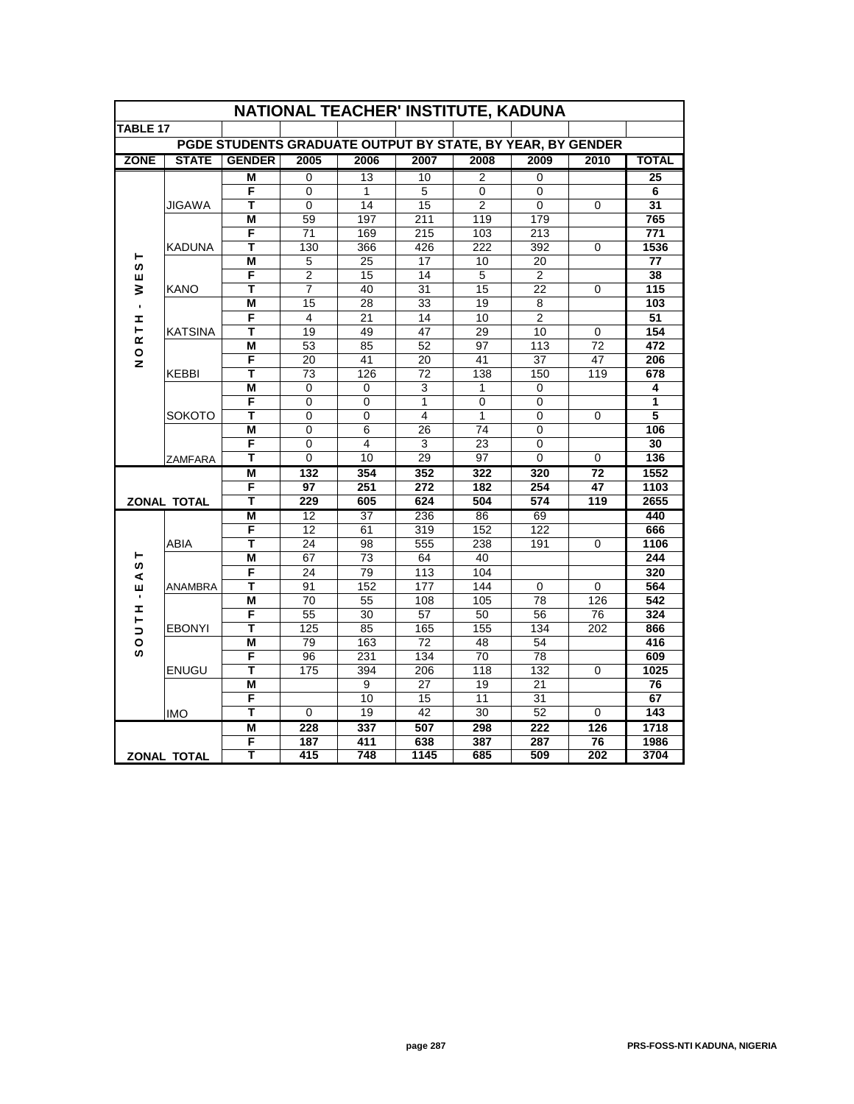| NATIONAL TEACHER' INSTITUTE, KADUNA                        |                                 |               |                |                         |           |                |                |                 |              |
|------------------------------------------------------------|---------------------------------|---------------|----------------|-------------------------|-----------|----------------|----------------|-----------------|--------------|
| <b>TABLE 17</b>                                            |                                 |               |                |                         |           |                |                |                 |              |
| PGDE STUDENTS GRADUATE OUTPUT BY STATE, BY YEAR, BY GENDER |                                 |               |                |                         |           |                |                |                 |              |
| <b>ZONE</b>                                                | <b>STATE</b>                    | <b>GENDER</b> | 2005           | 2006                    | 2007      | 2008           | 2009           | 2010            | <b>TOTAL</b> |
|                                                            |                                 | М             | $\mathbf 0$    | 13                      | 10        | 2              | 0              |                 | 25           |
|                                                            |                                 | F             | 0              | 1                       | 5         | 0              | 0              |                 | 6            |
|                                                            | JIGAWA                          | Т             | 0              | 14                      | 15        | $\overline{2}$ | 0              | $\Omega$        | 31           |
|                                                            |                                 | М             | 59             | 197                     | 211       | 119            | 179            |                 | 765          |
|                                                            |                                 | F             | 71             | 169                     | 215       | 103            | 213            |                 | 771          |
|                                                            | <b>KADUNA</b>                   | T             | 130            | 366                     | 426       | 222            | 392            | $\Omega$        | 1536         |
| ⊢<br>ဖာ                                                    |                                 | М             | 5              | 25                      | 17        | 10             | 20             |                 | 77           |
| ш                                                          |                                 | F             | $\overline{2}$ | 15                      | 14        | 5              | $\overline{2}$ |                 | 38           |
| ⋧                                                          | <b>KANO</b>                     | Т             | $\overline{7}$ | 40                      | 31        | 15             | 22             | 0               | 115          |
| $\blacksquare$                                             |                                 | M             | 15             | 28                      | 33        | 19             | 8              |                 | 103          |
| Ŧ,                                                         |                                 | F             | $\overline{4}$ | 21                      | 14        | 10             | $\overline{2}$ |                 | 51           |
| ⊢<br>ĸ                                                     | <b>KATSINA</b>                  | т             | 19             | 49                      | 47        | 29             | 10             | 0               | 154          |
| $\mathsf{o}$                                               |                                 | M             | 53             | 85                      | 52        | 97             | 113            | 72              | 472          |
| $\mathbf{z}$                                               |                                 | F             | 20             | 41                      | 20        | 41             | 37             | 47              | 206          |
|                                                            | KEBBI                           | т             | 73             | 126                     | 72        | 138            | 150            | 119             | 678          |
|                                                            | <b>SOKOTO</b><br><b>ZAMFARA</b> | M             | $\Omega$       | 0                       | 3         | 1              | 0              |                 | 4            |
|                                                            |                                 | F             | 0              | 0                       | 1         | 0              | 0              |                 | 1            |
|                                                            |                                 | T             | $\Omega$       | $\Omega$                | 4         | $\mathbf{1}$   | $\Omega$       | $\Omega$        | 5            |
|                                                            |                                 | М             | $\Omega$       | 6                       | 26        | 74             | 0              |                 | 106          |
|                                                            |                                 | F             | $\Omega$       | $\overline{\mathbf{4}}$ | 3         | 23             | $\Omega$       |                 | 30           |
|                                                            |                                 | Ŧ             | $\overline{0}$ | 10                      | 29        | 97             | $\overline{0}$ | $\mathbf 0$     | 136          |
|                                                            |                                 | M             | 132            | 354                     | 352       | 322            | 320            | $\overline{72}$ | 1552         |
|                                                            |                                 | F<br>Т        | 97             | 251                     | 272       | 182            | 254<br>574     | 47<br>119       | 1103         |
|                                                            | <b>ZONAL TOTAL</b>              |               | 229            | 605                     | 624       | 504            |                |                 | 2655         |
|                                                            | ABIA                            | M<br>F        | 12<br>12       | 37<br>61                | 236       | 86<br>152      | 69<br>122      |                 | 440<br>666   |
|                                                            |                                 | т             |                |                         | 319       |                |                |                 |              |
| ⊢                                                          |                                 | M             | 24<br>67       | 98<br>$\overline{73}$   | 555<br>64 | 238<br>40      | 191            | 0               | 1106<br>244  |
| S                                                          | ANAMBRA<br><b>EBONYI</b>        | F             | 24             | 79                      | 113       | 104            |                |                 | 320          |
| ⋖<br>ш                                                     |                                 | т             | 91             | 152                     | 177       | 144            | $\Omega$       | 0               | 564          |
| ٠                                                          |                                 | M             | 70             | 55                      | 108       | 105            | 78             | 126             | 542          |
| Ŧ,                                                         |                                 | F             | 55             | 30                      | 57        | 50             | 56             | 76              | 324          |
| ⊢<br>$\Rightarrow$                                         |                                 | т             | 125            | 85                      | 165       | 155            | 134            | 202             | 866          |
| $\circ$                                                    |                                 | M             | 79             | 163                     | 72        | 48             | 54             |                 | 416          |
| ဖာ                                                         | <b>ENUGU</b>                    | F             | 96             | 231                     | 134       | 70             | 78             |                 | 609          |
|                                                            |                                 | T             | 175            | 394                     | 206       | 118            | 132            | 0               | 1025         |
|                                                            |                                 | M             |                | 9                       | 27        | 19             | 21             |                 | 76           |
|                                                            |                                 | F             |                | 10                      | 15        | 11             | 31             |                 | 67           |
|                                                            | <b>IMO</b>                      | т             | $\Omega$       | 19                      | 42        | 30             | 52             | $\mathbf 0$     | 143          |
|                                                            |                                 | M             | 228            | 337                     | 507       | 298            | 222            | 126             | 1718         |
|                                                            |                                 |               | 187            | 411                     | 638       | 387            | 287            | 76              | 1986         |
| ZONAL TOTAL                                                |                                 | Т             | 415            | 748                     | 1145      | 685            | 509            | 202             | 3704         |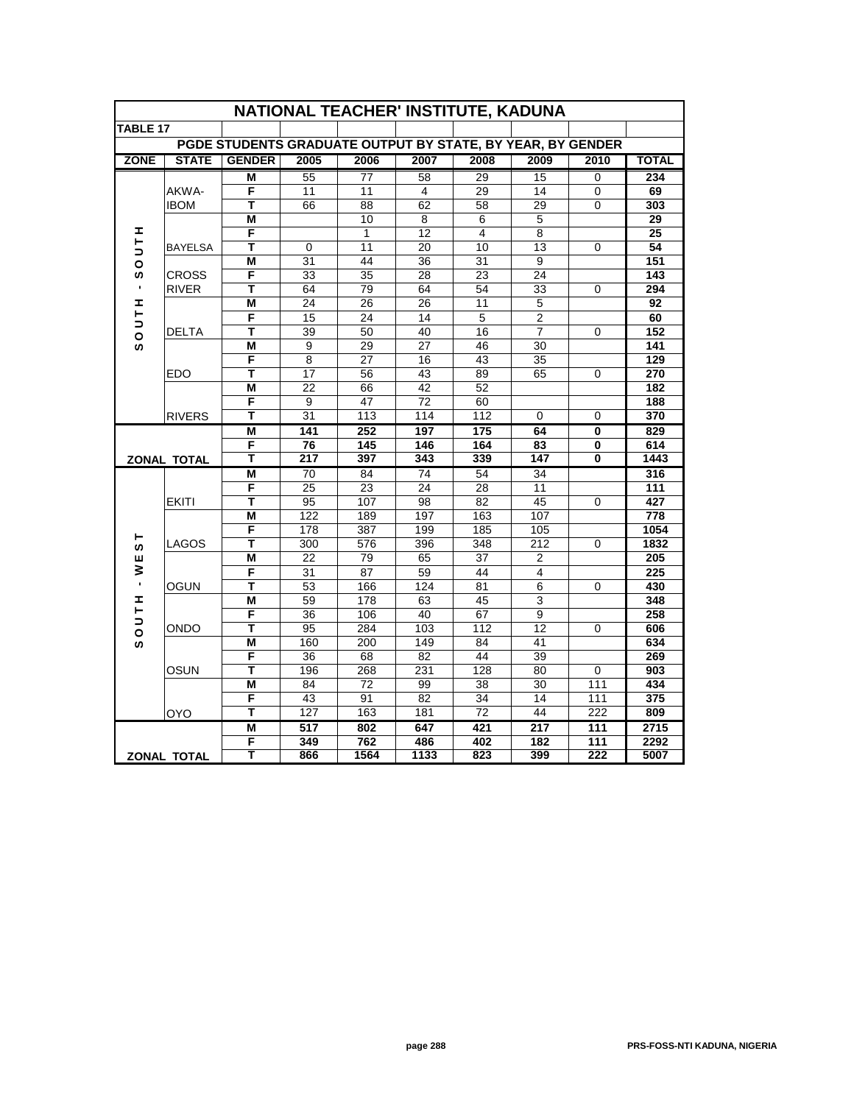| NATIONAL TEACHER' INSTITUTE, KADUNA                        |                    |               |                      |                 |                |           |                |            |              |
|------------------------------------------------------------|--------------------|---------------|----------------------|-----------------|----------------|-----------|----------------|------------|--------------|
| TABLE 17                                                   |                    |               |                      |                 |                |           |                |            |              |
| PGDE STUDENTS GRADUATE OUTPUT BY STATE, BY YEAR, BY GENDER |                    |               |                      |                 |                |           |                |            |              |
| <b>ZONE</b>                                                | <b>STATE</b>       | <b>GENDER</b> | 2005                 | 2006            | 2007           | 2008      | 2009           | 2010       | <b>TOTAL</b> |
|                                                            |                    | M             | 55                   | 77              | 58             | 29        | 15             | 0          | 234          |
|                                                            | AKWA-              | F             | 11                   | 11              | $\overline{4}$ | 29        | 14             | 0          | 69           |
|                                                            | <b>IBOM</b>        | Т             | 66                   | 88              | 62             | 58        | 29             | 0          | 303          |
|                                                            |                    | M             |                      | 10              | 8              | 6         | 5              |            | 29           |
| I<br>⊢                                                     | <b>BAYELSA</b>     | F             |                      | 1               | 12             | 4         | 8              |            | 25           |
| ∍                                                          |                    | T             | 0                    | 11              | 20             | 10        | 13             | 0          | 54           |
| O                                                          |                    | М             | 31                   | 44              | 36             | 31        | 9              |            | 151          |
| ဖာ                                                         | CROSS              | F             | 33                   | 35              | 28             | 23        | 24             |            | 143          |
| $\blacksquare$                                             | <b>RIVER</b>       | т             | 64                   | 79              | 64             | 54        | 33             | 0          | 294          |
| I<br>⊢                                                     |                    | M             | 24                   | 26              | 26             | 11        | 5              |            | 92           |
| $\Rightarrow$                                              |                    | F             | 15                   | 24              | 14             | 5         | $\overline{2}$ |            | 60           |
| $\circ$                                                    | <b>DELTA</b>       | т             | 39                   | 50              | 40             | 16        | 7              | 0          | 152          |
| ဖာ                                                         |                    | M             | 9                    | 29              | 27             | 46        | 30             |            | 141          |
|                                                            |                    | F             | 8                    | 27              | 16             | 43        | 35             |            | 129          |
|                                                            | <b>EDO</b>         | т<br>M        | 17<br>22             | 56<br>66        | 43<br>42       | 89<br>52  | 65             | 0          | 270<br>182   |
|                                                            | <b>RIVERS</b>      | F             |                      | 47              |                |           |                |            |              |
|                                                            |                    | T             | 9<br>$\overline{31}$ | 113             | 72<br>114      | 60<br>112 | $\Omega$       | $\Omega$   | 188<br>370   |
|                                                            |                    | M             | 141                  | 252             | 197            | 175       | 64             | 0          | 829          |
|                                                            |                    | F             | 76                   | 145             | 146            | 164       | 83             | 0          | 614          |
|                                                            | <b>ZONAL TOTAL</b> |               | 217                  | 397             | 343            | 339       | 147            | 0          | 1443         |
|                                                            | <b>EKITI</b>       | M             | 70                   | 84              | 74             | 54        | 34             |            | 316          |
|                                                            |                    | F             | $\overline{25}$      | 23              | 24             | 28        | 11             |            | 111          |
|                                                            |                    | т             | 95                   | 107             | 98             | 82        | 45             | 0          | 427          |
|                                                            | LAGOS              | M             | 122                  | 189             | 197            | 163       | 107            |            | 778          |
|                                                            |                    | F             | 178                  | 387             | 199            | 185       | 105            |            | 1054         |
| ⊢<br>w                                                     |                    | т             | 300                  | 576             | 396            | 348       | 212            | 0          | 1832         |
| ш                                                          | OGUN               | M             | 22                   | 79              | 65             | 37        | 2              |            | 205          |
| ₹                                                          |                    | F             | 31                   | 87              | 59             | 44        | 4              |            | 225          |
| $\blacksquare$                                             |                    | т             | 53                   | 166             | 124            | 81        | 6              | $\Omega$   | 430          |
| I<br>Н                                                     |                    | М             | 59                   | 178             | 63             | 45        | 3              |            | 348          |
| ∍                                                          |                    | F             | 36                   | 106             | 40             | 67        | 9              |            | 258          |
| $\bar{\circ}$                                              | ONDO               | т             | 95                   | 284             | 103            | 112       | 12             | $\Omega$   | 606          |
| ဖာ                                                         |                    | M             | 160                  | 200             | 149            | 84        | 41             |            | 634          |
|                                                            | OSUN               | F             | 36                   | 68              | 82             | 44        | 39             |            | 269          |
|                                                            |                    | т             | 196                  | 268             | 231            | 128       | 80             | 0          | 903          |
|                                                            |                    | M<br>F        | 84                   | $\overline{72}$ | 99             | 38        | 30             | 111        | 434          |
|                                                            |                    | т             | 43<br>127            | 91<br>163       | 82<br>181      | 34<br>72  | 14<br>44       | 111<br>222 | 375<br>809   |
| OYO                                                        |                    | M             | 517                  | 802             | 647            | 421       | 217            | 111        |              |
|                                                            |                    | F             | 349                  | 762             | 486            | 402       | 182            | 111        | 2715<br>2292 |
|                                                            |                    | Т             | 866                  | 1564            | 1133           | 823       | 399            | 222        | 5007         |
| <b>ZONAL TOTAL</b>                                         |                    |               |                      |                 |                |           |                |            |              |